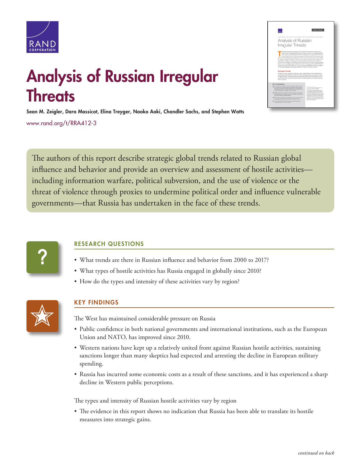

# Analysis of Russian **Irregular Threats**

## Analysis of Russian Irregular **Threats**

Sean M. Zeigler, Dara Massicot, Elina Treyger, Naoko Aoki, Chandler Sachs, and Stephen Watts [www.rand.org/t/RRA412-3](http://www.rand.org/t/RRA412-3)

The authors of this report describe strategic global trends related to Russian global influence and behavior and provide an overview and assessment of hostile activities including information warfare, political subversion, and the use of violence or the threat of violence through proxies to undermine political order and influence vulnerable governments—that Russia has undertaken in the face of these trends.



### RESEARCH QUESTIONS

- What trends are there in Russian influence and behavior from 2000 to 2017?
- What types of hostile activities has Russia engaged in globally since 2010?
- How do the types and intensity of these activities vary by region?



### KEY FINDINGS

The West has maintained considerable pressure on Russia

- Public confidence in both national governments and international institutions, such as the European Union and NATO, has improved since 2010.
- Western nations have kept up a relatively united front against Russian hostile activities, sustaining sanctions longer than many skeptics had expected and arresting the decline in European military spending.
- Russia has incurred some economic costs as a result of these sanctions, and it has experienced a sharp decline in Western public perceptions.

The types and intensity of Russian hostile activities vary by region

• The evidence in this report shows no indication that Russia has been able to translate its hostile measures into strategic gains.